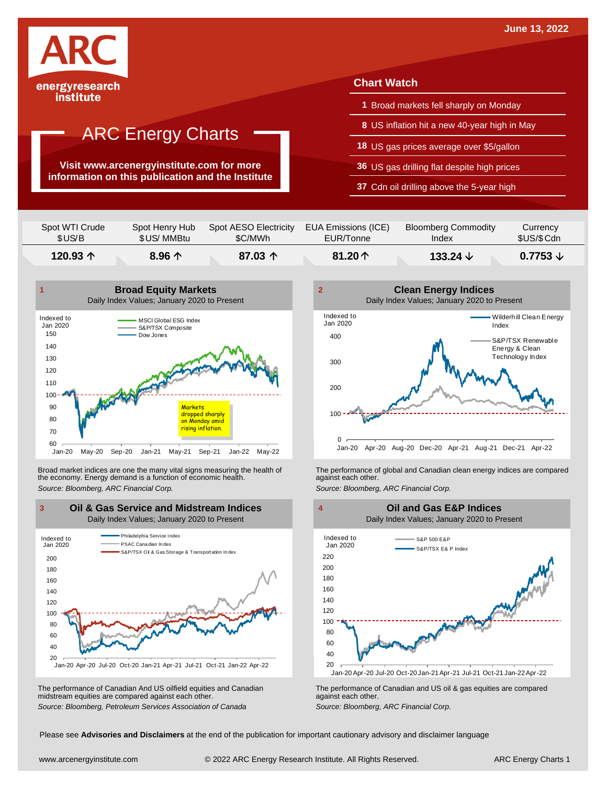

**Visit www.arcenergyinstitute.com for more information on this publication and the Institute**

#### **Chart Watch**

- **1** Broad markets fell sharply on Monday
- **8** US inflation hit a new 40-year high in May
- **18** US gas prices average over \$5/gallon
- **36** US gas drilling flat despite high prices
- **37** Cdn oil drilling above the 5-year high

| Spot WTI Crude | Spot Henry Hub  | Spot AESO Electricity | EUA Emissions (ICE) | <b>Bloomberg Commodity</b> | Currency            |
|----------------|-----------------|-----------------------|---------------------|----------------------------|---------------------|
| \$US/B         | \$US/ MMBtu     | \$C/MWh               | EUR/Tonne           | Index                      | \$US/\$Cdn          |
| $120.93$ 个     | $8.96 \uparrow$ | 87.03 $\uparrow$      | 81.20 $\uparrow$    | 133.24 $\vee$              | $0.7753 \downarrow$ |



Broad market indices are one the many vital signs measuring the health of the economy. Energy demand is a function of economic health. Broad market indices are one the many vital signs measuring the health of The performance of global and Canadian clean energy indices are compared<br>the economy. Energy demand is a function of economic health.<br>Source: Bloomb



The performance of Canadian And US oilfield equities and Canadian midstream equities are compared against each other. The performance of Canadian And US oilfield equities and Canadian **Frank Constant Prank Constant Prank Constant**<br>The performance of Canadian and US oil & gas equities are compared<br>Source: Bloomberg, Petroleum Services Asso





Please see **Advisories and Disclaimers** at the end of the publication for important cautionary advisory and disclaimer language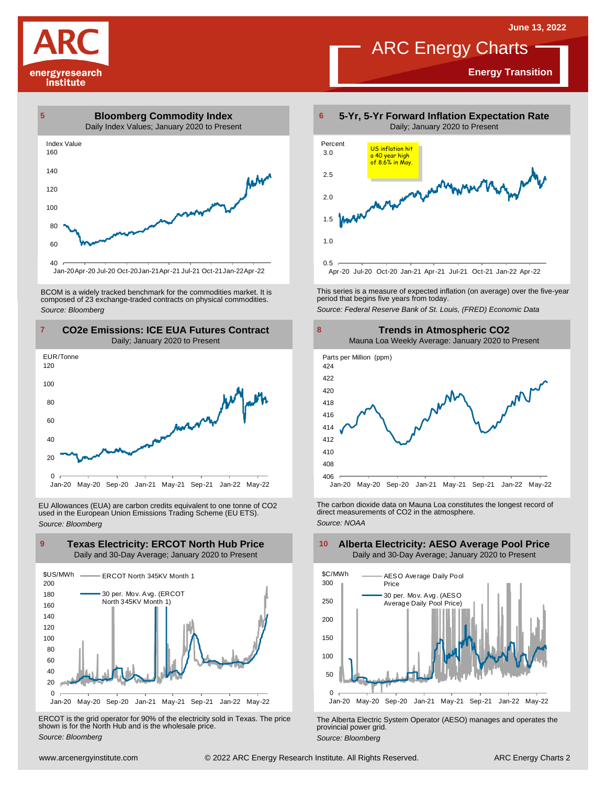**Energy Transition**

## ARC Energy Charts

energyresearch institute



Jan-20Apr-20 Jul-20 Oct-20Jan-21Apr-21 Jul-21 Oct-21Jan-22Apr-22

BCOM is <sup>a</sup> widely tracked benchmark for the commodities market. It is composed of <sup>23</sup> exchange-traded contracts on physical commodities. *Source: Bloomberg*



EU Allowances (EUA) are carbon credits equivalent to one tonne of CO2 used in the European Union Emissions Trading Scheme (EU ETS). *Source: Bloomberg*



ERCOT is the grid operator for 90% of the electricity sold in Texas. The price shown is for the North Hub and is the wholesale price. *Source: Bloomberg*



This series is <sup>a</sup> measure of expected inflation (on average) over the five-year period that begins five years from today. *Source: Federal Reserve Bank of St. Louis, (FRED) Economic Data*



Jan-20 May-20 Sep-20 Jan-21 May-21 Sep-21 Jan-22 May-22

The carbon dioxide data on Mauna Loa constitutes the longest record of direct measurements of CO2 in the atmosphere. *Source: NOAA*



The Alberta Electric System Operator (AESO) manages and operates the provincial power grid. *Source: Bloomberg*

#### **Alberta Electricity: AESO Average Pool Price** Daily and 30-Day Average; January 2020 to Present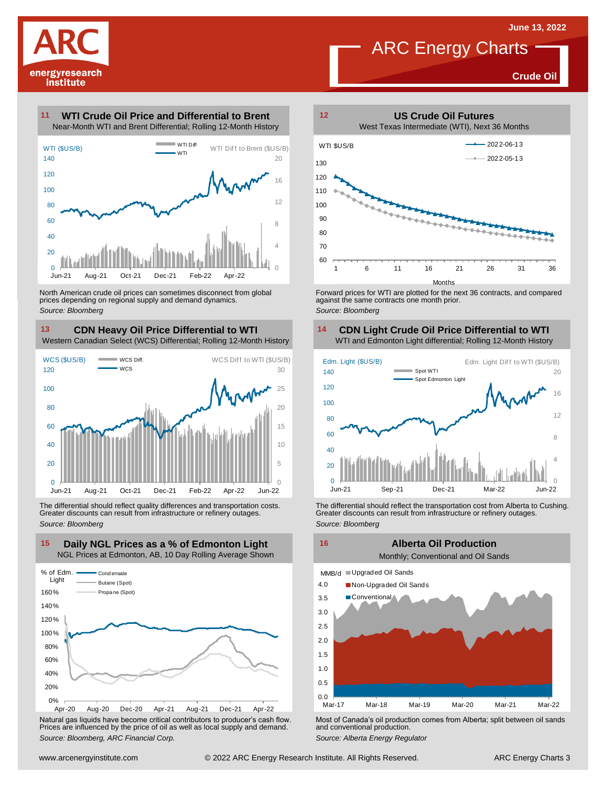

**Crude Oil**

#### **WTI Crude Oil Price and Differential to Brent 11**



North American crude oil prices can sometimes disconnect from global prices depending on regional supply and demand dynamics. *Source: Bloomberg*

### **CDN Heavy Oil Price Differential to WTI 13 14**

Western Canadian Select (WCS) Differential; Rolling 12-Month History



The differential should reflect quality differences and transportation costs. Greater discounts can result from infrastructure or refinery outages. *Source: Bloomberg*



Natural gas liquids have become critical contributors to producer's cash flow. Most of Canada's oil production comes from Alberta; split between oil sands<br>Prices are influenced by the price of oil as well as local supply a



Forward prices for WTI are plotted for the next 36 contracts, and compared against the same contracts one month prior. *Source: Bloomberg*

## **CDN Light Crude Oil Price Differential to WTI**



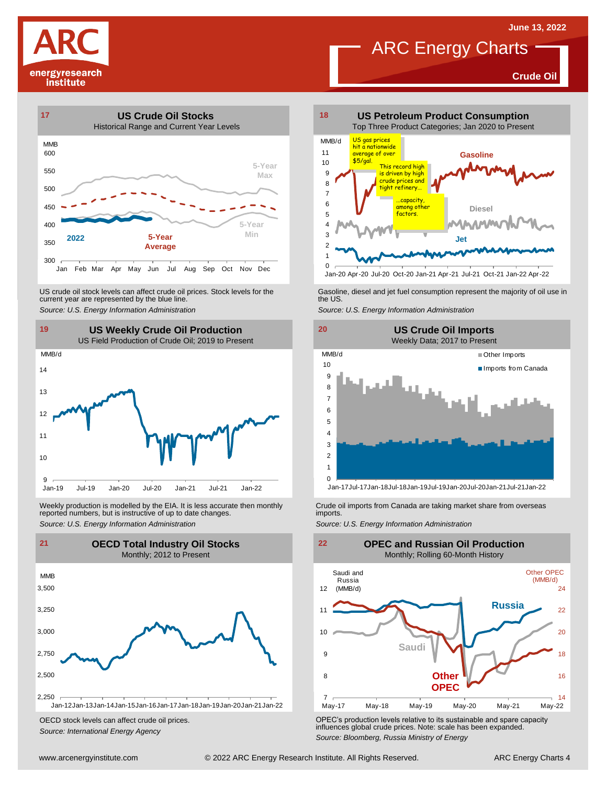**Crude Oil**





US crude oil stock levels can affect crude oil prices. Stock levels for the current year are represented by the blue line. US crude oil stock levels can affect crude oil prices. Stock levels for the Gasoline, diesel and jet fuel consumption represent the majority of oil use in<br>current year are represented by the blue line.<br>Source: U.S. Energy



Weekly production is modelled by the EIA. It is less accurate then monthly reported numbers, but is instructive of up to date changes. Weekly production is modelled by the EIA. It is less accurate then monthly Crude oil imports from Canada are taking market share from overseas<br>
reported numbers, but is instructive of up to date changes.<br>
Source: U.S. Ener



OECD stock levels can affect crude oil prices. *Source: International Energy Agency*



Jan-20 Apr-20 Jul-20 Oct-20 Jan-21 Apr-21 Jul-21 Oct-21 Jan-22 Apr-22





OPEC's production levels relative to its sustainable and spare capacity influences global crude prices. Note: scale has been expanded. *Source: Bloomberg, Russia Ministry of Energy*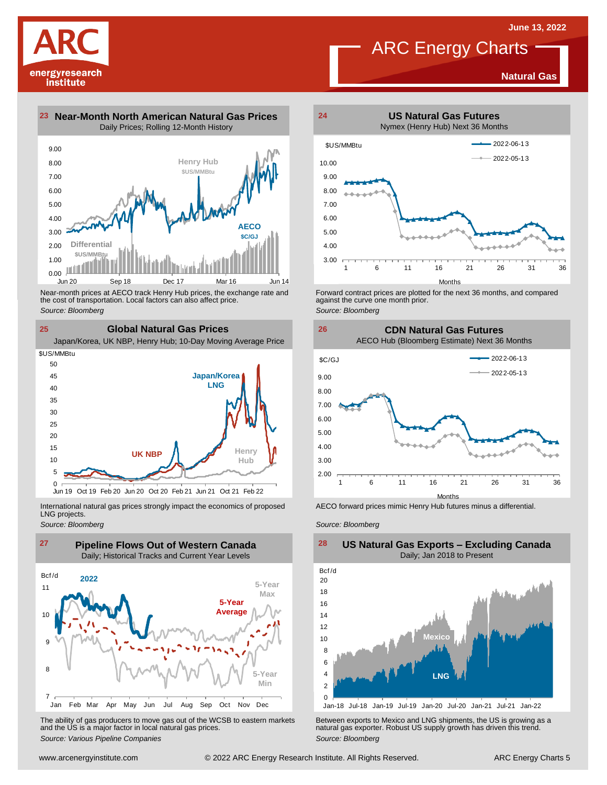**Natural Gas**

## ARC Energy Charts



**23 Near-Month North American Natural Gas Prices 24**

Daily Prices; Rolling 12-Month History



the cost of transportation. Local factors can also affect price.

*Source: Bloomberg*

**25 Global Natural Gas Prices** Near-month prices at AECO track Henry Hub prices, the exchange rate and<br>the cost of transportation. Local factors can also affect price.<br>Source: Bloomberg<br>**CIObal Natural Gas Prices**<br>Japan/Korea, UK NBP, Henry Hub; 10-Day **Japan/Korea LNG Henry Hub UK NBP** 5 10 15  $20$ 25 30 35  $4<sup>c</sup>$ 45 50 \$US/MMBtu

International natural gas prices strongly impact the economics of proposed LNG projects.

Oct 19 Feb 20 Jun 20 Oct 20 Feb 21 Jun 21 Oct 21 Feb 22

*Source: Bloomberg*

 $0 \ \overline{\smash)$ Jun 19



The ability of gas producers to move gas out of the WCSB to eastern markets Between exports to Mexico and LNG shipments, the US is growing as a<br>and the US is a major factor in local natural gas prices.<br>Source: Bloomberg Va



Forward contract prices are plotted for the next <sup>36</sup> months, and compared against the curve one month prior. *Source: Bloomberg*

**26 CDN Natural Gas Futures** AECO Hub (Bloomberg Estimate) Next 36 Months



AECO forward prices mimic Henry Hub futures minus a differential.

*Source: Bloomberg*



#### **US Natural Gas Exports – Excluding Canada** Daily; Jan 2018 to Present  $\frac{28}{\text{Bcf/d}}$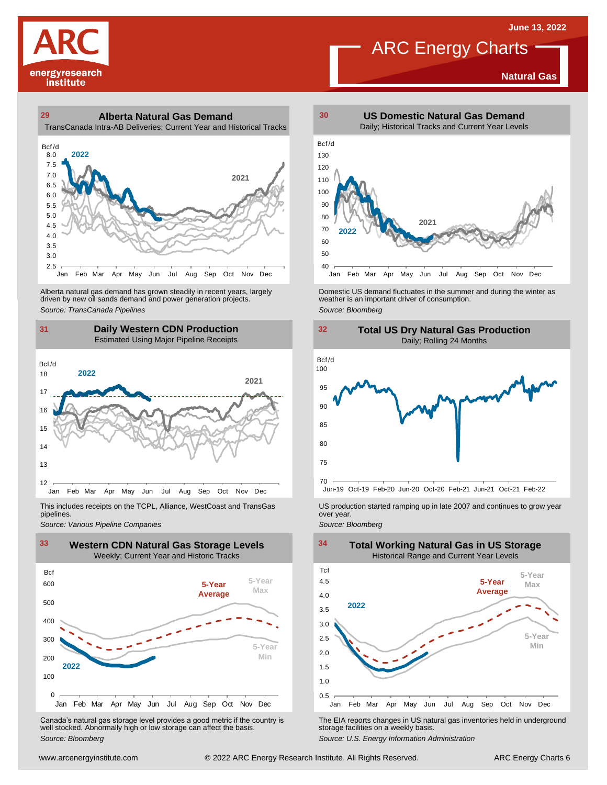**Natural Gas**

# energyresearch institute

#### **29 30 Alberta Natural Gas Demand** TransCanada Intra-AB Deliveries; Current Year and Historical Tracks



Alberta natural gas demand has grown steadily in recent years, largely<br>
driven by new oil sands demand and power generation projects.<br>
Source: *Bloomberg*<br>
Source: *Bloomberg*<br>
Daily Western CDN Production<br>
Estimated Using Alberta natural gas demand has grown steadily in recent years, largely **Domestic US demand fluctuates in the summer** and during the winter as driven by new oil sands demand and power generation projects.<br>Ariven by new oil

#### **31 32 Daily Western CDN Production** Estimated Using Major Pipeline Receipts  $\frac{31}{\text{Bcf/d}}$



This includes receipts on the TCPL, Alliance, WestCoast and TransGas pipelines.



WE Canada's natural gas storage level provides a good metric if the country is<br>
Canada's natural gas storage level provides a good metric if the country is<br>
Well stocked. Abnormally high or low storage can affect the basi Canada's natural gas storage level provides <sup>a</sup> good metric if the country is well stocked. Abnormally high or low storage can affect the basis. *Source: Bloomberg*



ARC Energy Charts





*Source: Pipelines Pipelines Pipelines Pipelines Pipelines Companies Pipeline Pipelines Pipelines Pipelines Pipelines Companies Pipeline Companies Pipeline Companies Pipeline Companies Pip* 

1.0 1.5 2.0 2.5 3.0 3.5 4.0 4.5 Jan Feb Mar Apr May Jun Jul Aug Sep Oct Nov Dec Tcf **2022 Total Working Natural Gas in US Storage** Historical Range and Current Year Levels **5-Year Min 5-Year Max 5-Year Average**

The EIA reports changes in US natural gas inventories held in underground storage facilities on <sup>a</sup> weekly basis.

*Source: U.S. Energy Information Administration*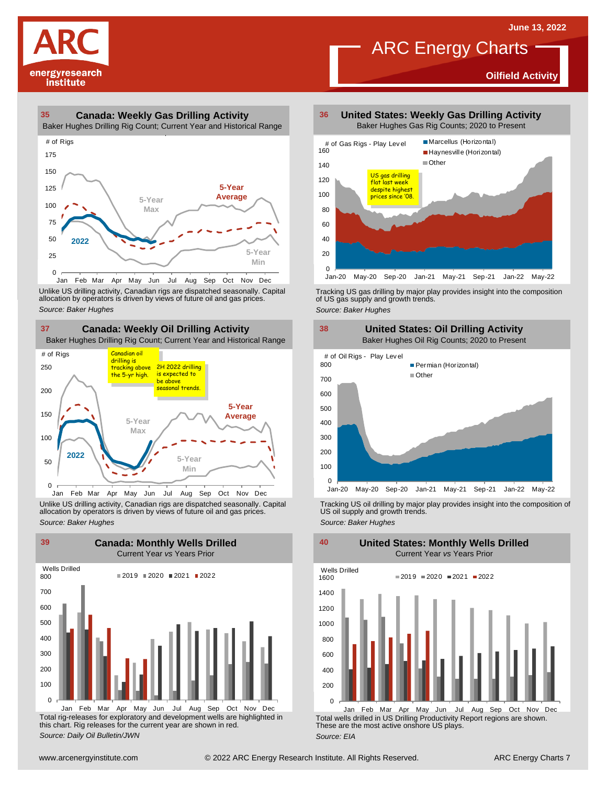**Oilfield Activity**



#### **35 36 Canada: Weekly Gas Drilling Activity**

Baker Hughes Drilling Rig Count; Current Year and Historical Range



Unlike US drilling activity, Canadian rigs are dispatched seasonally. Capital<br>allocation by operators is driven by views of future oil and gas prices. 0<br>Jan Feb Mar<br>Unlike US drilling activi<br>allocation by operators<br>Source: Baker Hughes





Unlike US drilling activity, Canadian rigs are dispatched seasonally. Capital Tracking US oil drilling by major play provides insight into the composition of<br>allocation by operators is driven by views of future oil and gas



Total rig-releases for exploratory and development wells are highlighted in this chart. Rig releases for the current year are shown in red. *Source: Daily Oil Bulletin/JWN* Jan Feb Mar Apr May Jun Jul Aug Sep Oct Nov Dec

**United States: Weekly Gas Drilling Activity** Baker Hughes Gas Rig Counts; 2020 to Present

ARC Energy Charts



Tracking US gas drilling by major play provides insight into the composition of US gas supply and growth trends.

*Source: Baker Hughes*



Tracking US oil drilling by major play provides insight into the composition of US oil supply and growth trends. *Source: Baker Hughes*

**United States: Monthly Wells Drilled**

 $\Omega$ 200 400 600 800 1000 1200 1400 1600 Wells Drilled  $2019 = 2020 = 2021 = 2022$ 

Total wells drilled in US Drilling Productivity Report regions are shown. These are the most active onshore US plays. *Source: EIA* Jan Feb Mar Apr May Jun Jul Aug Sep Oct Nov Dec